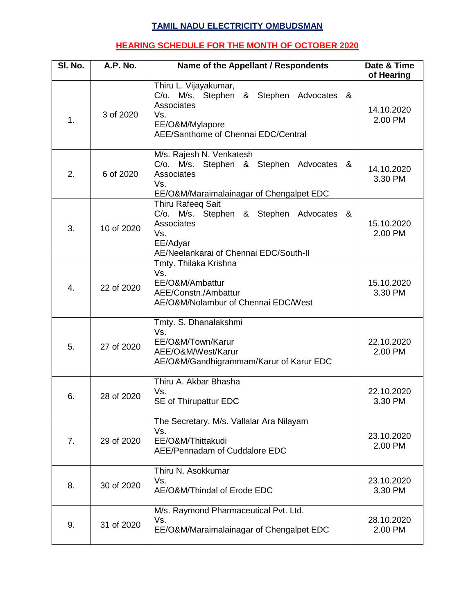## **TAMIL NADU ELECTRICITY OMBUDSMAN**

## **HEARING SCHEDULE FOR THE MONTH OF OCTOBER 2020**

| SI. No. | A.P. No.   | Name of the Appellant / Respondents                                                                                                             | Date & Time<br>of Hearing |
|---------|------------|-------------------------------------------------------------------------------------------------------------------------------------------------|---------------------------|
| 1.      | 3 of 2020  | Thiru L. Vijayakumar,<br>C/o. M/s. Stephen & Stephen Advocates &<br>Associates<br>Vs.<br>EE/O&M/Mylapore<br>AEE/Santhome of Chennai EDC/Central | 14.10.2020<br>2.00 PM     |
| 2.      | 6 of 2020  | M/s. Rajesh N. Venkatesh<br>C/o. M/s. Stephen & Stephen Advocates &<br>Associates<br>Vs.<br>EE/O&M/Maraimalainagar of Chengalpet EDC            | 14.10.2020<br>3.30 PM     |
| 3.      | 10 of 2020 | Thiru Rafeeq Sait<br>C/o. M/s. Stephen & Stephen Advocates &<br>Associates<br>Vs.<br>EE/Adyar<br>AE/Neelankarai of Chennai EDC/South-II         | 15.10.2020<br>2.00 PM     |
| 4.      | 22 of 2020 | Tmty. Thilaka Krishna<br>Vs.<br>EE/O&M/Ambattur<br>AEE/Constn./Ambattur<br>AE/O&M/Nolambur of Chennai EDC/West                                  | 15.10.2020<br>3.30 PM     |
| 5.      | 27 of 2020 | Tmty. S. Dhanalakshmi<br>Vs.<br>EE/O&M/Town/Karur<br>AEE/O&M/West/Karur<br>AE/O&M/Gandhigrammam/Karur of Karur EDC                              | 22.10.2020<br>2.00 PM     |
| 6.      | 28 of 2020 | Thiru A. Akbar Bhasha<br>Vs.<br>SE of Thirupattur EDC                                                                                           | 22.10.2020<br>3.30 PM     |
| 7.      | 29 of 2020 | The Secretary, M/s. Vallalar Ara Nilayam<br>Vs.<br>EE/O&M/Thittakudi<br>AEE/Pennadam of Cuddalore EDC                                           | 23.10.2020<br>2.00 PM     |
| 8.      | 30 of 2020 | Thiru N. Asokkumar<br>Vs.<br>AE/O&M/Thindal of Erode EDC                                                                                        | 23.10.2020<br>3.30 PM     |
| 9.      | 31 of 2020 | M/s. Raymond Pharmaceutical Pvt. Ltd.<br>Vs.<br>EE/O&M/Maraimalainagar of Chengalpet EDC                                                        | 28.10.2020<br>2.00 PM     |